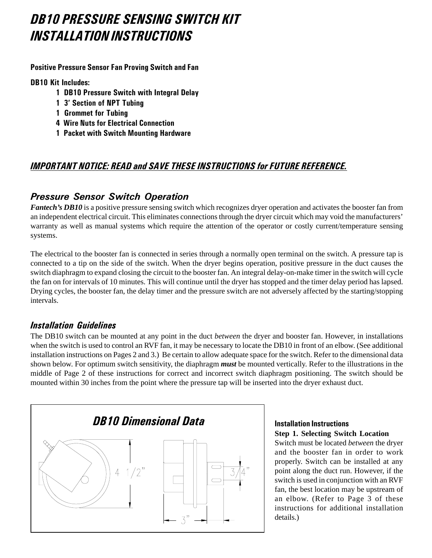# DB10 PRESSURE SENSING SWITCH KIT *INSTALLATION INSTRUCTIONS*

Positive Pressure Sensor Fan Proving Switch and Fan

**DB10 Kit Includes:** 

- 1 DB10 Pressure Switch with Integral Delay
- 1 3' Section of NPT Tubing
- **1 Grommet for Tubing**
- 4 Wire Nuts for Electrical Connection
- 1 Packet with Switch Mounting Hardware

# <u>IMPORTANT NOTICE: READ and SAVE THESE INSTRUCTIONS for FUTURE REFERENCE.</u>

# Pressure Sensor Switch Operation

*Fantech's DB10* is a positive pressure sensing switch which recognizes dryer operation and activates the booster fan from an independent electrical circuit. This eliminates connections through the dryer circuit which may void the manufacturers' warranty as well as manual systems which require the attention of the operator or costly current/temperature sensing systems.

The electrical to the booster fan is connected in series through a normally open terminal on the switch. A pressure tap is connected to a tip on the side of the switch. When the dryer begins operation, positive pressure in the duct causes the switch diaphragm to expand closing the circuit to the booster fan. An integral delay-on-make timer in the switch will cycle the fan on for intervals of 10 minutes. This will continue until the dryer has stopped and the timer delay period has lapsed. Drying cycles, the booster fan, the delay timer and the pressure switch are not adversely affected by the starting/stopping intervals.

## **Installation Guidelines**

The DB10 switch can be mounted at any point in the duct *between* the dryer and booster fan. However, in installations when the switch is used to control an RVF fan, it may be necessary to locate the DB10 in front of an elbow. (See additional installation instructions on Pages 2 and 3.) Be certain to allow adequate space for the switch. Refer to the dimensional data shown below. For optimum switch sensitivity, the diaphragm *must* be mounted vertically. Refer to the illustrations in the middle of Page 2 of these instructions for correct and incorrect switch diaphragm positioning. The switch should be mounted within 30 inches from the point where the pressure tap will be inserted into the dryer exhaust duct.



## Installation Instructions **Step 1. Selecting Switch Location**

Switch must be located *between* the dryer and the booster fan in order to work properly. Switch can be installed at any point along the duct run. However, if the switch is used in conjunction with an RVF fan, the best location may be upstream of an elbow. (Refer to Page 3 of these instructions for additional installation details.)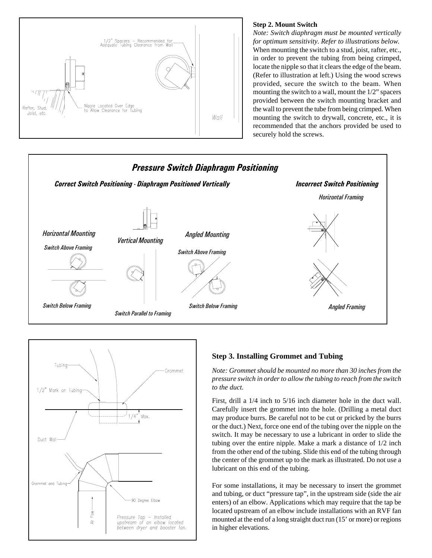

### **Step 2. Mount Switch**

*Note: Switch diaphragm must be mounted vertically for optimum sensitivity. Refer to illustrations below.* When mounting the switch to a stud, joist, rafter, etc., in order to prevent the tubing from being crimped, locate the nipple so that it clears the edge of the beam. (Refer to illustration at left.) Using the wood screws provided, secure the switch to the beam. When mounting the switch to a wall, mount the 1/2" spacers provided between the switch mounting bracket and the wall to prevent the tube from being crimped. When mounting the switch to drywall, concrete, etc., it is recommended that the anchors provided be used to securely hold the screws.





### **Step 3. Installing Grommet and Tubing**

*Note: Grommet should be mounted no more than 30 inches from the pressure switch in order to allow the tubing to reach from the switch to the duct.*

First, drill a 1/4 inch to 5/16 inch diameter hole in the duct wall. Carefully insert the grommet into the hole. (Drilling a metal duct may produce burrs. Be careful not to be cut or pricked by the burrs or the duct.) Next, force one end of the tubing over the nipple on the switch. It may be necessary to use a lubricant in order to slide the tubing over the entire nipple. Make a mark a distance of 1/2 inch from the other end of the tubing. Slide this end of the tubing through the center of the grommet up to the mark as illustrated. Do not use a lubricant on this end of the tubing.

For some installations, it may be necessary to insert the grommet and tubing, or duct "pressure tap", in the upstream side (side the air enters) of an elbow. Applications which may require that the tap be located upstream of an elbow include installations with an RVF fan mounted at the end of a long straight duct run (15' or more) or regions in higher elevations.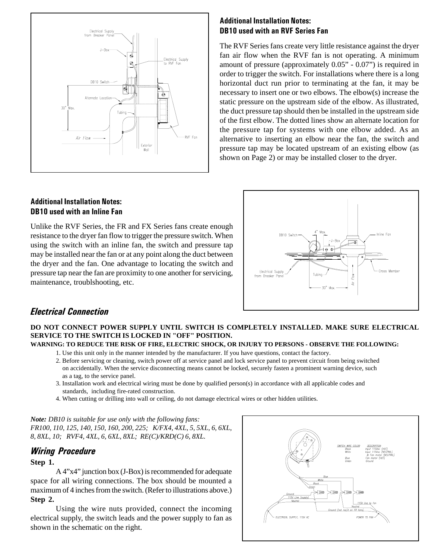

## **Additional Installation Notes:** DB10 used with an RVF Series Fan

The RVF Series fans create very little resistance against the dryer fan air flow when the RVF fan is not operating. A minimum amount of pressure (approximately 0.05" - 0.07") is required in order to trigger the switch. For installations where there is a long horizontal duct run prior to terminating at the fan, it may be necessary to insert one or two elbows. The elbow(s) increase the static pressure on the upstream side of the elbow. As illustrated, the duct pressure tap should then be installed in the upstream side of the first elbow. The dotted lines show an alternate location for the pressure tap for systems with one elbow added. As an alternative to inserting an elbow near the fan, the switch and pressure tap may be located upstream of an existing elbow (as shown on Page 2) or may be installed closer to the dryer.

## Additional Installation Notes: **DB10** used with an Inline Fan

Unlike the RVF Series, the FR and FX Series fans create enough resistance to the dryer fan flow to trigger the pressure switch. When using the switch with an inline fan, the switch and pressure tap may be installed near the fan or at any point along the duct between the dryer and the fan. One advantage to locating the switch and pressure tap near the fan are proximity to one another for servicing, maintenance, troublshooting, etc.



## **Electrical Connection**

## **DO NOT CONNECT POWER SUPPLY UNTIL SWITCH IS COMPLETELY INSTALLED. MAKE SURE ELECTRICAL SERVICE TO THE SWITCH IS LOCKED IN "OFF" POSITION.**

## **WARNING: TO REDUCE THE RISK OF FIRE, ELECTRIC SHOCK, OR INJURY TO PERSONS - OBSERVE THE FOLLOWING:**

- 1. Use this unit only in the manner intended by the manufacturer. If you have questions, contact the factory.
- 2. Before servicing or cleaning, switch power off at service panel and lock service panel to prevent circuit from being switched on accidentally. When the service disconnecting means cannot be locked, securely fasten a prominent warning device, such as a tag, to the service panel.
- 3. Installation work and electrical wiring must be done by qualified person(s) in accordance with all applicable codes and standards, including fire-rated construction.
- 4. When cutting or drilling into wall or ceiling, do not damage electrical wires or other hidden utilities.

*Note: DB10 is suitable for use only with the following fans: FR100, 110, 125, 140, 150, 160, 200, 225; K/FX4, 4XL, 5, 5XL, 6, 6XL, 8, 8XL, 10; RVF4, 4XL, 6, 6XL, 8XL; RE(C)/KRD(C) 6, 8XL.*

## **Wiring Procedure**

### **Step 1.**

A 4"x4" junction box (J-Box) is recommended for adequate space for all wiring connections. The box should be mounted a maximum of 4 inches from the switch. (Refer to illustrations above.) **Step 2.**

Using the wire nuts provided, connect the incoming electrical supply, the switch leads and the power supply to fan as shown in the schematic on the right.